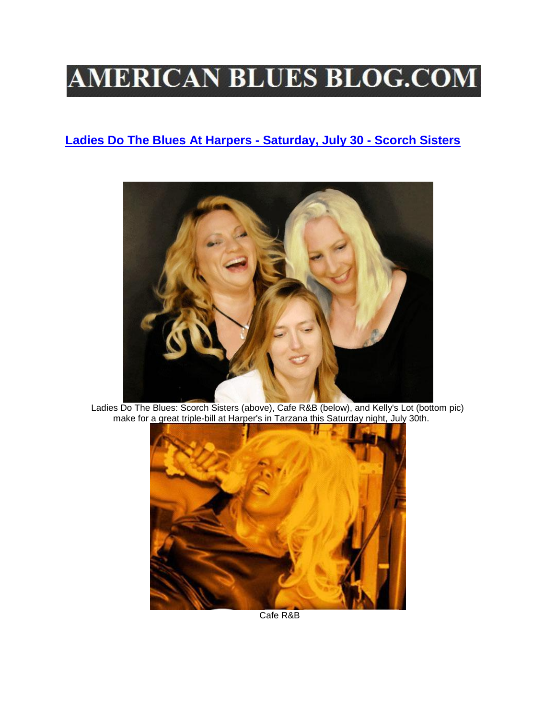## **AMERICAN BLUES BLOG.COM**

## **[Ladies Do The Blues At Harpers -](http://www.americanbluesblog.com/www.thescorchsisters.ning.com) Saturday, July 30 - Scorch Sisters**



Ladies Do The Blues: Scorch Sisters (above), Cafe R&B (below), and Kelly's Lot (bottom pic) make for a great triple-bill at Harper's in Tarzana this Saturday night, July 30th.



Cafe R&B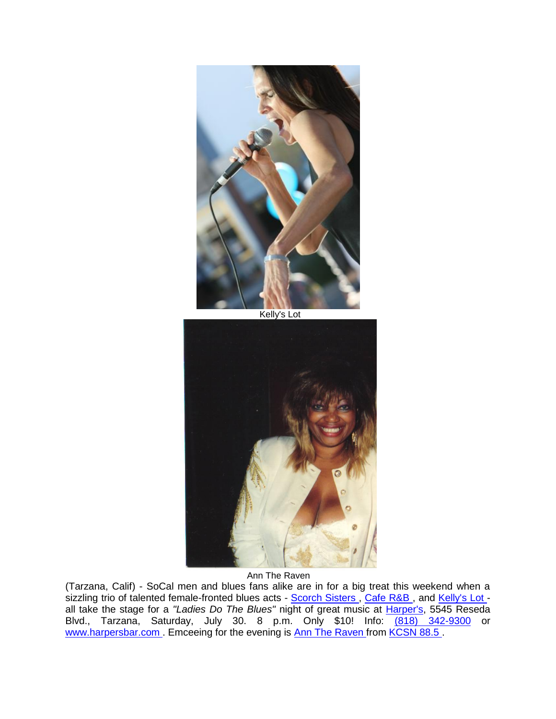

Kelly's Lot



Ann The Raven

(Tarzana, Calif) - SoCal men and blues fans alike are in for a big treat this weekend when a sizzling trio of talented female-fronted blues acts - Scorch Sisters, Cafe R&B, and [Kelly's Lot](http://r20.rs6.net/tn.jsp?llr=lpv5lydab&et=1106772375978&s=0&e=001Gss8wyq4pZRUqQyEsqGfq5p4vw9gcO-Yd0vo2VSPldFILXowrG5SYi0h7Mpgq5ybWPpNA28OEXgT2iZI_jTih0I8DeoCmbDC)  all take the stage for a *"Ladies Do The Blues"* night of great music at [Harper's,](http://r20.rs6.net/tn.jsp?llr=lpv5lydab&et=1106772375978&s=0&e=001Gss8wyq4pZRUqQyEsqGfq5p4vw9gcO-Yd0vo2VSPldFILXowrG5SYi0h7Mpgq5ybWPpNA28OEXgu6hfFRpIZZ0y2DjerbGEKu9xq8VaztqU=) 5545 Reseda Blvd., Tarzana, Saturday, July 30. 8 p.m. Only \$10! Info: [\(818\) 342-9300](http://tel:28818/) or [www.harpersbar.com .](http://r20.rs6.net/tn.jsp?llr=lpv5lydab&et=1106772375978&s=0&e=001Gss8wyq4pZRUqQyEsqGfq5p4vw9gcO-Yd0vo2VSPldFILXowrG5SYi0h7Mpgq5ybWPpNA28OEXgu6hfFRpIZZ0y2DjerbGEKu9xq8VaztqU=) Emceeing for the evening is [Ann The Raven f](http://r20.rs6.net/tn.jsp?llr=lpv5lydab&et=1106772375978&s=0&e=001Gss8wyq4pZRUqQyEsqGfq5p4vw9gcO-Yd0vo2VSPldFILXowrG5SYn6aj1edm1GuwsXmLkBHfdmx04WOYSIzDKRqTEYkyD7ArCPpFuxG9v5_otB7MmL2UhFKPT_QXcHM68ckfGztfd9qOAtKW4FEai231Xwjc2Bu)rom KCSN 88.5.